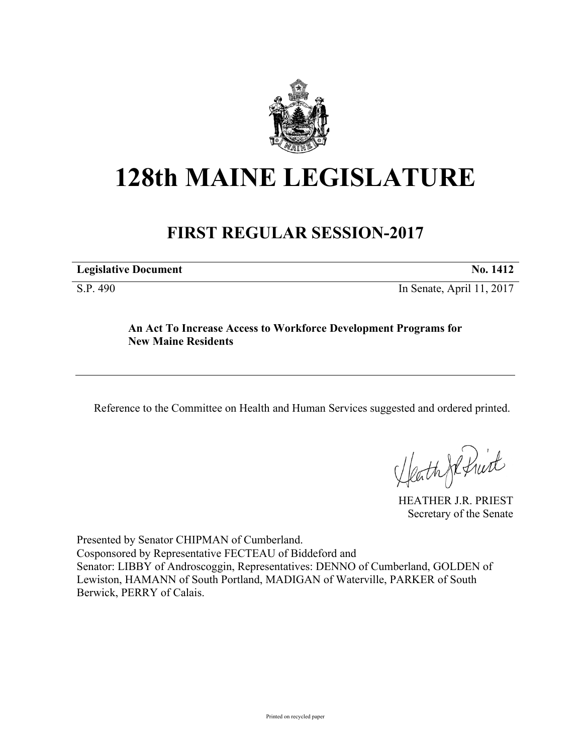

## **128th MAINE LEGISLATURE**

## **FIRST REGULAR SESSION-2017**

| <b>Legislative Document</b> | $\mathbb{N}$ 0. 141 $\mathbb{Z}$ |
|-----------------------------|----------------------------------|
|                             |                                  |

S.P. 490 In Senate, April 11, 2017

## **An Act To Increase Access to Workforce Development Programs for New Maine Residents**

Reference to the Committee on Health and Human Services suggested and ordered printed.

Heath Je fruit

HEATHER J.R. PRIEST Secretary of the Senate

Presented by Senator CHIPMAN of Cumberland. Cosponsored by Representative FECTEAU of Biddeford and Senator: LIBBY of Androscoggin, Representatives: DENNO of Cumberland, GOLDEN of Lewiston, HAMANN of South Portland, MADIGAN of Waterville, PARKER of South Berwick, PERRY of Calais.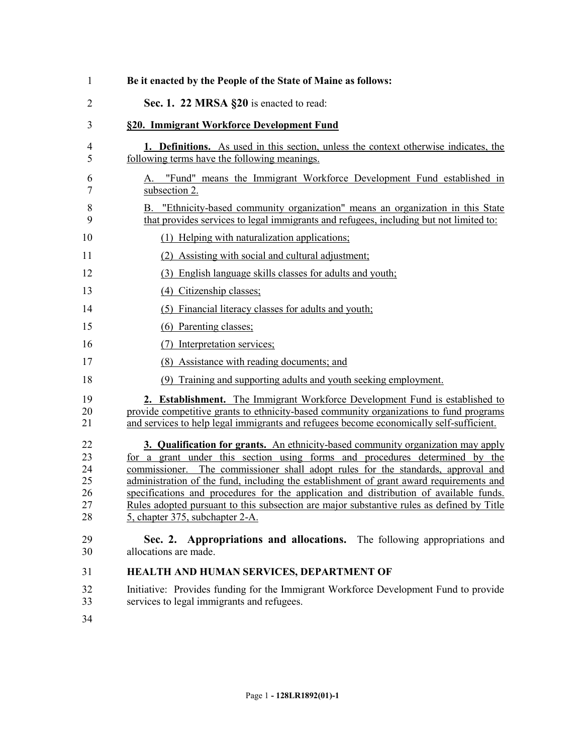| $\mathbf{1}$                           | Be it enacted by the People of the State of Maine as follows:                                                                                                                                                                                                                                                                                                                                                                                                                                                                                                                   |  |  |  |  |
|----------------------------------------|---------------------------------------------------------------------------------------------------------------------------------------------------------------------------------------------------------------------------------------------------------------------------------------------------------------------------------------------------------------------------------------------------------------------------------------------------------------------------------------------------------------------------------------------------------------------------------|--|--|--|--|
| $\overline{2}$                         | Sec. 1. 22 MRSA §20 is enacted to read:                                                                                                                                                                                                                                                                                                                                                                                                                                                                                                                                         |  |  |  |  |
| 3                                      | §20. Immigrant Workforce Development Fund                                                                                                                                                                                                                                                                                                                                                                                                                                                                                                                                       |  |  |  |  |
| 4<br>5                                 | <b>1. Definitions.</b> As used in this section, unless the context otherwise indicates, the<br>following terms have the following meanings.                                                                                                                                                                                                                                                                                                                                                                                                                                     |  |  |  |  |
| 6<br>7                                 | "Fund" means the Immigrant Workforce Development Fund established in<br>А.<br>subsection 2.                                                                                                                                                                                                                                                                                                                                                                                                                                                                                     |  |  |  |  |
| 8<br>9                                 | "Ethnicity-based community organization" means an organization in this State<br>В.<br>that provides services to legal immigrants and refugees, including but not limited to:                                                                                                                                                                                                                                                                                                                                                                                                    |  |  |  |  |
| 10                                     | (1) Helping with naturalization applications;                                                                                                                                                                                                                                                                                                                                                                                                                                                                                                                                   |  |  |  |  |
| 11                                     | (2) Assisting with social and cultural adjustment;                                                                                                                                                                                                                                                                                                                                                                                                                                                                                                                              |  |  |  |  |
| 12                                     | (3) English language skills classes for adults and youth;                                                                                                                                                                                                                                                                                                                                                                                                                                                                                                                       |  |  |  |  |
| 13                                     | (4) Citizenship classes;                                                                                                                                                                                                                                                                                                                                                                                                                                                                                                                                                        |  |  |  |  |
| 14                                     | (5) Financial literacy classes for adults and youth;                                                                                                                                                                                                                                                                                                                                                                                                                                                                                                                            |  |  |  |  |
| 15                                     | (6) Parenting classes;                                                                                                                                                                                                                                                                                                                                                                                                                                                                                                                                                          |  |  |  |  |
| 16                                     | (7) Interpretation services;                                                                                                                                                                                                                                                                                                                                                                                                                                                                                                                                                    |  |  |  |  |
| 17                                     | (8) Assistance with reading documents; and                                                                                                                                                                                                                                                                                                                                                                                                                                                                                                                                      |  |  |  |  |
| 18                                     | Training and supporting adults and youth seeking employment.                                                                                                                                                                                                                                                                                                                                                                                                                                                                                                                    |  |  |  |  |
| 19<br>20<br>21                         | 2. Establishment. The Immigrant Workforce Development Fund is established to<br>provide competitive grants to ethnicity-based community organizations to fund programs<br>and services to help legal immigrants and refugees become economically self-sufficient.                                                                                                                                                                                                                                                                                                               |  |  |  |  |
| 22<br>23<br>24<br>25<br>26<br>27<br>28 | <b>3. Qualification for grants.</b> An ethnicity-based community organization may apply<br>for a grant under this section using forms and procedures determined by the<br>commissioner. The commissioner shall adopt rules for the standards, approval and<br>administration of the fund, including the establishment of grant award requirements and<br>specifications and procedures for the application and distribution of available funds.<br>Rules adopted pursuant to this subsection are major substantive rules as defined by Title<br>5, chapter 375, subchapter 2-A. |  |  |  |  |
| 29<br>30                               | Sec. 2. Appropriations and allocations. The following appropriations and<br>allocations are made.                                                                                                                                                                                                                                                                                                                                                                                                                                                                               |  |  |  |  |
| 31                                     | HEALTH AND HUMAN SERVICES, DEPARTMENT OF                                                                                                                                                                                                                                                                                                                                                                                                                                                                                                                                        |  |  |  |  |
| 32<br>33                               | Initiative: Provides funding for the Immigrant Workforce Development Fund to provide<br>services to legal immigrants and refugees.                                                                                                                                                                                                                                                                                                                                                                                                                                              |  |  |  |  |

34